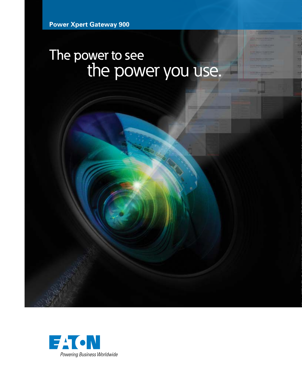# The power to see the power you use.

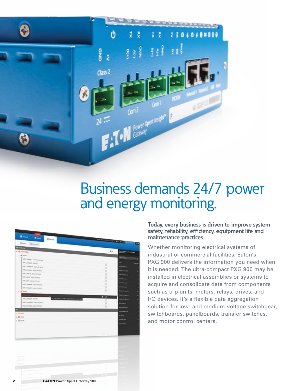

# Business demands 24/7 power and energy monitoring.



#### **Today, every business is driven to improve system safety, reliability, efficiency, equipment life and maintenance practices.**

Whether monitoring electrical systems of industrial or commercial facilities, Eaton's PXG 900 delivers the information you need when it is needed. The ultra-compact PXG 900 may be installed in electrical assemblies or systems to acquire and consolidate data from components such as trip units, meters, relays, drives, and I/O devices. It's a flexible data aggregation solution for low- and medium-voltage switchgear, switchboards, panelboards, transfer switches, and motor control centers.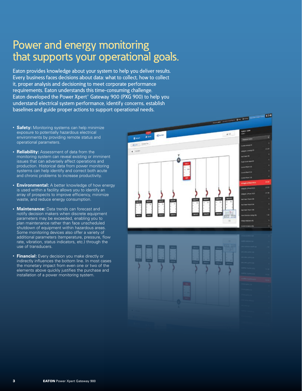## Power and energy monitoring that supports your operational goals.

Eaton provides knowledge about your system to help you deliver results. Every business faces decisions about data: what to collect, how to collect it, proper analysis and decisioning to meet corporate performance requirements. Eaton understands this time-consuming challenge. Eaton developed the Power Xpert® Gateway 900 (PXG 900) to help you understand electrical system performance, identify concerns, establish baselines and guide proper actions to support operational needs.

- **Safety:** Monitoring systems can help minimize exposure to potentially hazardous electrical environments by providing remote status and operational parameters.
- **Reliability:** Assessment of data from the monitoring system can reveal existing or imminent issues that can adversely affect operations and production. Historical data from power monitoring systems can help identify and correct both acute and chronic problems to increase productivity.
- **Environmental:** A better knowledge of how energy is used within a facility allows you to identify an array of prospects to improve efficiency, minimize waste, and reduce energy consumption.
- **Maintenance:** Data trends can forecast and notify decision makers when discrete equipment parameters may be exceeded, enabling you to plan maintenance rather than face unscheduled shutdown of equipment within hazardous areas. Some monitoring devices also offer a variety of additional parameters (temperature, pressure, flow rate, vibration, status indicators, etc.) through the use of transducers.
- **Financial:** Every decision you make directly or indirectly influences the bottom line. In most cases the monetary impact from even one or two of the elements above quickly justifies the purchase and installation of a power monitoring system.

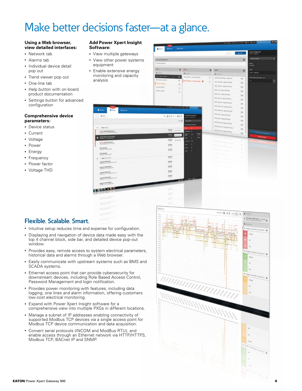## Make better decisions faster—at a glance.

#### **Using a Web browser, view detailed interfaces:**

- Network tab
- Alarms tab
- Individual device detail pop out
- Trend viewer pop out
- One-line tab
- Help button with on-board product documentation
- Settings button for advanced configuration

#### **Comprehensive device parameters:**

- Device status
- **Current**
- Voltage
- Power
- Energy
- Frequency
- Power factor
- Voltage THD

#### **Add Power Xpert Insight Software:**

- View multiple gateways
- View other power systems equipment
- Enable extensive energy monitoring and capacity analysis



#### **Flexible. Scalable. Smart.**

- Intuitive setup reduces time and expense for configuration.
- Displaying and navigation of device data made easy with the top 4 channel block, side bar, and detailed device pop-out window.
- Provides easy, remote access to system electrical parameters, historical data and alarms through a Web browser.
- Easily communicate with upstream systems such as BMS and SCADA systems.
- Ethernet access point that can provide cybersecurity for downstream devices, including Role Based Access Control, Password Management and login notification.
- Provides power monitoring with features, including data logging, one lines and alarm information, offering customers low-cost electrical monitoring.
- Expand with Power Xpert Insight software for a comprehensive view into multiple PXGs in different locations.
- Manage a subnet of IP addresses enabling connectivity of supported Modbus TCP devices via a single access point for Modbus TCP device communication and data acquisition.
- Convert serial protocols (INCOM and ModBus RTU), and enable access through an Ethernet network via HTTP/HTTPS, Modbus TCP, BACnet IP and SNMP.

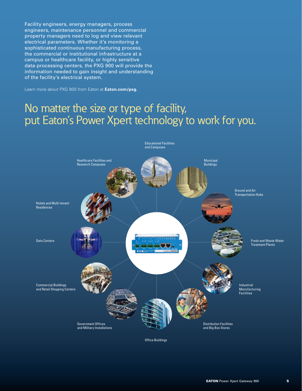Facility engineers, energy managers, process engineers, maintenance personnel and commercial property managers need to log and view relevant electrical parameters. Whether it's monitoring a sophisticated continuous manufacturing process, the commercial or institutional infrastructure at a campus or healthcare facility, or highly sensitive data-processing centers, the PXG 900 will provide the information needed to gain insight and understanding of the facility's electrical system.

Learn more about PXG 900 from Eaton at **Eaton.com/pxg.**

## No matter the size or type of facility, put Eaton's Power Xpert technology to work for you.



Educational Facilities

Office Buildings